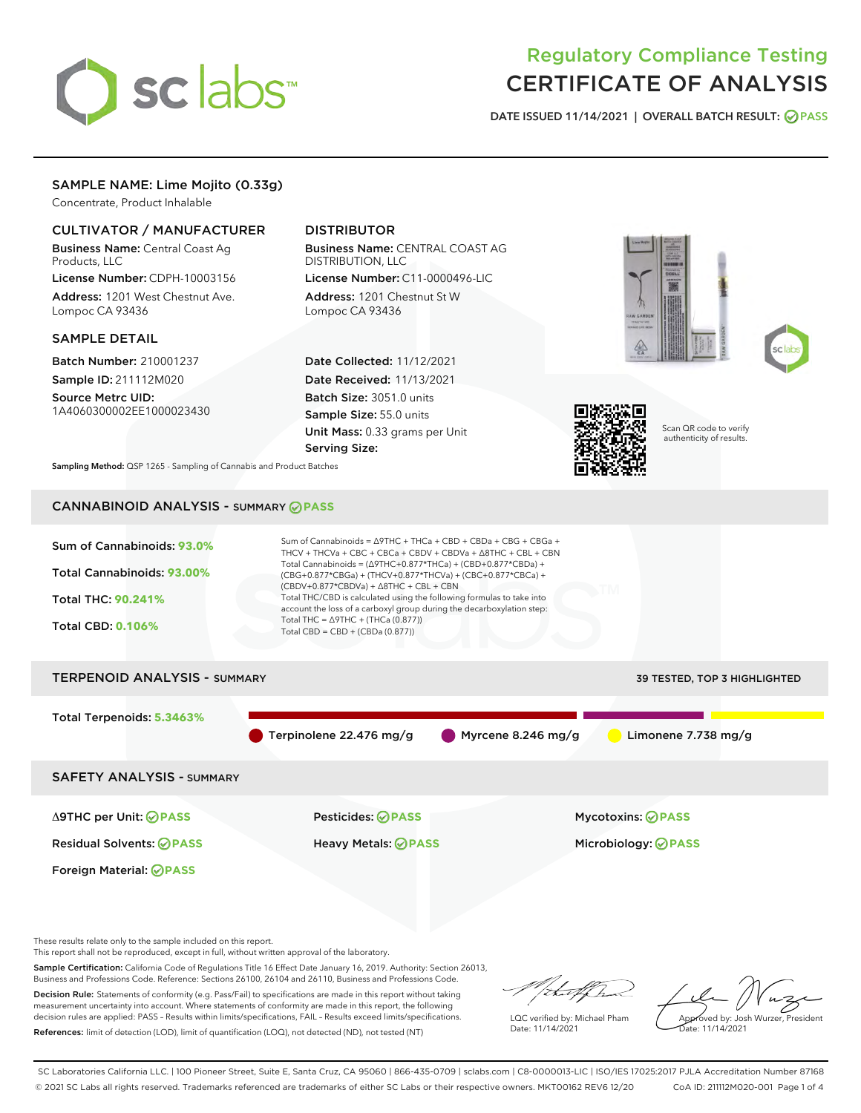

# Regulatory Compliance Testing CERTIFICATE OF ANALYSIS

DATE ISSUED 11/14/2021 | OVERALL BATCH RESULT: @ PASS

# SAMPLE NAME: Lime Mojito (0.33g)

Concentrate, Product Inhalable

# CULTIVATOR / MANUFACTURER

Business Name: Central Coast Ag Products, LLC

License Number: CDPH-10003156 Address: 1201 West Chestnut Ave. Lompoc CA 93436

#### SAMPLE DETAIL

Batch Number: 210001237 Sample ID: 211112M020

Source Metrc UID: 1A4060300002EE1000023430

# DISTRIBUTOR

Business Name: CENTRAL COAST AG DISTRIBUTION, LLC License Number: C11-0000496-LIC

Address: 1201 Chestnut St W Lompoc CA 93436

Date Collected: 11/12/2021 Date Received: 11/13/2021 Batch Size: 3051.0 units Sample Size: 55.0 units Unit Mass: 0.33 grams per Unit Serving Size:







Scan QR code to verify authenticity of results.

Sampling Method: QSP 1265 - Sampling of Cannabis and Product Batches

# CANNABINOID ANALYSIS - SUMMARY **PASS**



Sample Certification: California Code of Regulations Title 16 Effect Date January 16, 2019. Authority: Section 26013, Business and Professions Code. Reference: Sections 26100, 26104 and 26110, Business and Professions Code.

Decision Rule: Statements of conformity (e.g. Pass/Fail) to specifications are made in this report without taking measurement uncertainty into account. Where statements of conformity are made in this report, the following decision rules are applied: PASS – Results within limits/specifications, FAIL – Results exceed limits/specifications. References: limit of detection (LOD), limit of quantification (LOQ), not detected (ND), not tested (NT)

that f(ha

LQC verified by: Michael Pham Date: 11/14/2021

Approved by: Josh Wurzer, President ate: 11/14/2021

SC Laboratories California LLC. | 100 Pioneer Street, Suite E, Santa Cruz, CA 95060 | 866-435-0709 | sclabs.com | C8-0000013-LIC | ISO/IES 17025:2017 PJLA Accreditation Number 87168 © 2021 SC Labs all rights reserved. Trademarks referenced are trademarks of either SC Labs or their respective owners. MKT00162 REV6 12/20 CoA ID: 211112M020-001 Page 1 of 4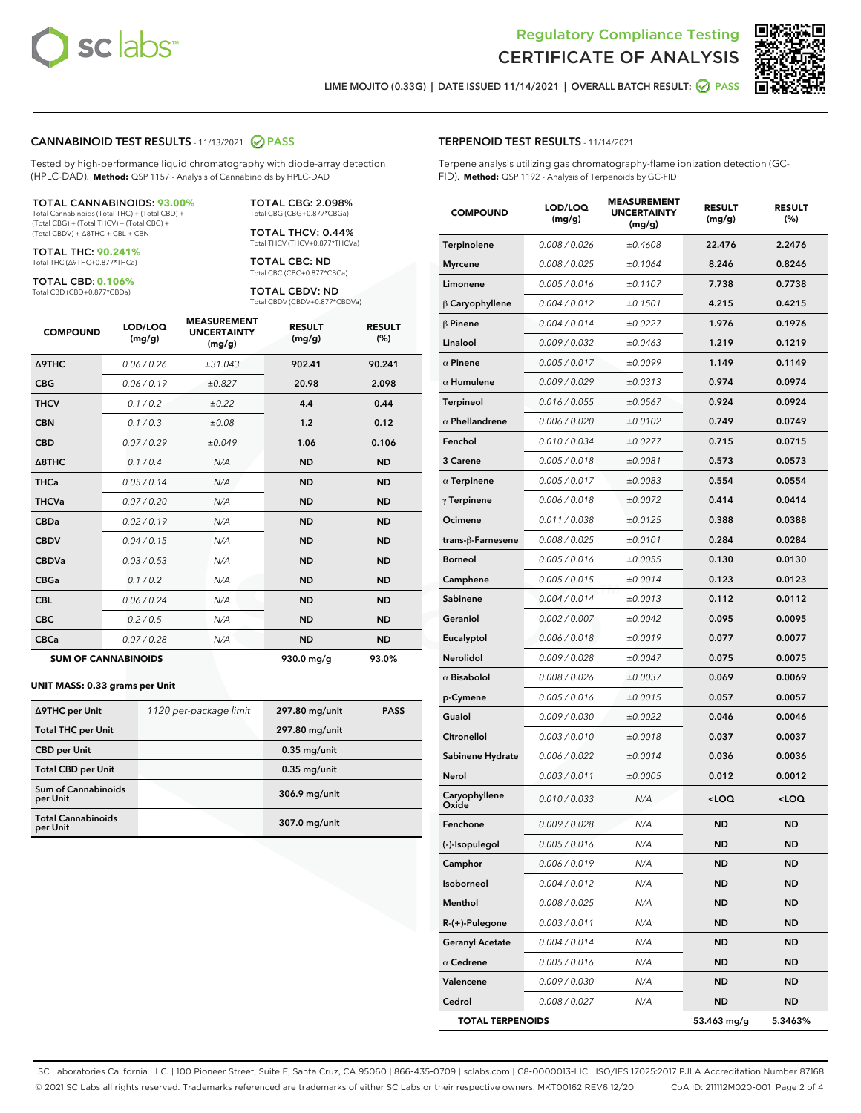



LIME MOJITO (0.33G) | DATE ISSUED 11/14/2021 | OVERALL BATCH RESULT: **⊘** PASS

#### CANNABINOID TEST RESULTS - 11/13/2021 2 PASS

Tested by high-performance liquid chromatography with diode-array detection (HPLC-DAD). **Method:** QSP 1157 - Analysis of Cannabinoids by HPLC-DAD

#### TOTAL CANNABINOIDS: **93.00%**

Total Cannabinoids (Total THC) + (Total CBD) + (Total CBG) + (Total THCV) + (Total CBC) + (Total CBDV) + ∆8THC + CBL + CBN

TOTAL THC: **90.241%** Total THC (∆9THC+0.877\*THCa)

TOTAL CBD: **0.106%**

Total CBD (CBD+0.877\*CBDa)

TOTAL CBG: 2.098% Total CBG (CBG+0.877\*CBGa)

TOTAL THCV: 0.44% Total THCV (THCV+0.877\*THCVa)

TOTAL CBC: ND Total CBC (CBC+0.877\*CBCa)

TOTAL CBDV: ND Total CBDV (CBDV+0.877\*CBDVa)

| <b>COMPOUND</b>  | LOD/LOQ<br>(mg/g)          | <b>MEASUREMENT</b><br><b>UNCERTAINTY</b><br>(mg/g) | <b>RESULT</b><br>(mg/g) | <b>RESULT</b><br>(%) |
|------------------|----------------------------|----------------------------------------------------|-------------------------|----------------------|
| <b>A9THC</b>     | 0.06/0.26                  | ±31.043                                            | 902.41                  | 90.241               |
| <b>CBG</b>       | 0.06/0.19                  | ±0.827                                             | 20.98                   | 2.098                |
| <b>THCV</b>      | 0.1/0.2                    | ±0.22                                              | 4.4                     | 0.44                 |
| <b>CBN</b>       | 0.1/0.3                    | ±0.08                                              | 1.2                     | 0.12                 |
| <b>CBD</b>       | 0.07/0.29                  | ±0.049                                             | 1.06                    | 0.106                |
| $\triangle$ 8THC | 0.1 / 0.4                  | N/A                                                | <b>ND</b>               | <b>ND</b>            |
| <b>THCa</b>      | 0.05/0.14                  | N/A                                                | <b>ND</b>               | <b>ND</b>            |
| <b>THCVa</b>     | 0.07/0.20                  | N/A                                                | <b>ND</b>               | <b>ND</b>            |
| <b>CBDa</b>      | 0.02/0.19                  | N/A                                                | <b>ND</b>               | <b>ND</b>            |
| <b>CBDV</b>      | 0.04/0.15                  | N/A                                                | <b>ND</b>               | <b>ND</b>            |
| <b>CBDVa</b>     | 0.03/0.53                  | N/A                                                | <b>ND</b>               | <b>ND</b>            |
| <b>CBGa</b>      | 0.1/0.2                    | N/A                                                | <b>ND</b>               | <b>ND</b>            |
| <b>CBL</b>       | 0.06 / 0.24                | N/A                                                | <b>ND</b>               | <b>ND</b>            |
| <b>CBC</b>       | 0.2 / 0.5                  | N/A                                                | <b>ND</b>               | <b>ND</b>            |
| <b>CBCa</b>      | 0.07/0.28                  | N/A                                                | <b>ND</b>               | <b>ND</b>            |
|                  | <b>SUM OF CANNABINOIDS</b> |                                                    | 930.0 mg/g              | 93.0%                |

#### **UNIT MASS: 0.33 grams per Unit**

| ∆9THC per Unit                         | 1120 per-package limit | 297.80 mg/unit | <b>PASS</b> |
|----------------------------------------|------------------------|----------------|-------------|
| <b>Total THC per Unit</b>              |                        | 297.80 mg/unit |             |
| <b>CBD</b> per Unit                    |                        | $0.35$ mg/unit |             |
| <b>Total CBD per Unit</b>              |                        | $0.35$ mg/unit |             |
| <b>Sum of Cannabinoids</b><br>per Unit |                        | 306.9 mg/unit  |             |
| <b>Total Cannabinoids</b><br>per Unit  |                        | 307.0 mg/unit  |             |

| <b>COMPOUND</b>         | LOD/LOQ<br>(mg/g) | ៶៰៴៲៶៲៲៲៲<br><b>UNCERTAINTY</b><br>(mg/g) | <b>RESULT</b><br>(mg/g)                         | <b>RESULT</b><br>$(\%)$ |
|-------------------------|-------------------|-------------------------------------------|-------------------------------------------------|-------------------------|
| Terpinolene             | 0.008 / 0.026     | ±0.4608                                   | 22.476                                          | 2.2476                  |
| Myrcene                 | 0.008 / 0.025     | ±0.1064                                   | 8.246                                           | 0.8246                  |
| Limonene                | 0.005 / 0.016     | ±0.1107                                   | 7.738                                           | 0.7738                  |
| $\beta$ Caryophyllene   | 0.004 / 0.012     | ±0.1501                                   | 4.215                                           | 0.4215                  |
| $\beta$ Pinene          | 0.004 / 0.014     | ±0.0227                                   | 1.976                                           | 0.1976                  |
| Linalool                | 0.009 / 0.032     | ±0.0463                                   | 1.219                                           | 0.1219                  |
| $\alpha$ Pinene         | 0.005 / 0.017     | ±0.0099                                   | 1.149                                           | 0.1149                  |
| $\alpha$ Humulene       | 0.009/0.029       | ±0.0313                                   | 0.974                                           | 0.0974                  |
| <b>Terpineol</b>        | 0.016 / 0.055     | ±0.0567                                   | 0.924                                           | 0.0924                  |
| $\alpha$ Phellandrene   | 0.006 / 0.020     | ±0.0102                                   | 0.749                                           | 0.0749                  |
| Fenchol                 | 0.010 / 0.034     | ±0.0277                                   | 0.715                                           | 0.0715                  |
| 3 Carene                | 0.005 / 0.018     | ±0.0081                                   | 0.573                                           | 0.0573                  |
| $\alpha$ Terpinene      | 0.005 / 0.017     | ±0.0083                                   | 0.554                                           | 0.0554                  |
| $\gamma$ Terpinene      | 0.006 / 0.018     | ±0.0072                                   | 0.414                                           | 0.0414                  |
| Ocimene                 | 0.011 / 0.038     | ±0.0125                                   | 0.388                                           | 0.0388                  |
| trans-β-Farnesene       | 0.008 / 0.025     | ±0.0101                                   | 0.284                                           | 0.0284                  |
| <b>Borneol</b>          | 0.005 / 0.016     | ±0.0055                                   | 0.130                                           | 0.0130                  |
| Camphene                | 0.005 / 0.015     | ±0.0014                                   | 0.123                                           | 0.0123                  |
| Sabinene                | 0.004 / 0.014     | ±0.0013                                   | 0.112                                           | 0.0112                  |
| Geraniol                | 0.002 / 0.007     | ±0.0042                                   | 0.095                                           | 0.0095                  |
| Eucalyptol              | 0.006 / 0.018     | ±0.0019                                   | 0.077                                           | 0.0077                  |
| Nerolidol               | 0.009 / 0.028     | ±0.0047                                   | 0.075                                           | 0.0075                  |
| $\alpha$ Bisabolol      | 0.008 / 0.026     | ±0.0037                                   | 0.069                                           | 0.0069                  |
| p-Cymene                | 0.005 / 0.016     | ±0.0015                                   | 0.057                                           | 0.0057                  |
| Guaiol                  | 0.009 / 0.030     | ±0.0022                                   | 0.046                                           | 0.0046                  |
| Citronellol             | 0.003 / 0.010     | ±0.0018                                   | 0.037                                           | 0.0037                  |
| Sabinene Hydrate        | 0.006 / 0.022     | ±0.0014                                   | 0.036                                           | 0.0036                  |
| Nerol                   | 0.003 / 0.011     | ±0.0005                                   | 0.012                                           | 0.0012                  |
| Caryophyllene<br>Oxide  | 0.010 / 0.033     | N/A                                       | <loq< th=""><th><loq< th=""></loq<></th></loq<> | <loq< th=""></loq<>     |
| Fenchone                | 0.009 / 0.028     | N/A                                       | <b>ND</b>                                       | <b>ND</b>               |
| (-)-Isopulegol          | 0.005 / 0.016     | N/A                                       | ND                                              | <b>ND</b>               |
| Camphor                 | 0.006 / 0.019     | N/A                                       | ND                                              | ND                      |
| Isoborneol              | 0.004 / 0.012     | N/A                                       | <b>ND</b>                                       | ND                      |
| Menthol                 | 0.008 / 0.025     | N/A                                       | ND                                              | ND                      |
| R-(+)-Pulegone          | 0.003 / 0.011     | N/A                                       | ND                                              | <b>ND</b>               |
| <b>Geranyl Acetate</b>  | 0.004 / 0.014     | N/A                                       | <b>ND</b>                                       | ND                      |
| $\alpha$ Cedrene        | 0.005 / 0.016     | N/A                                       | ND                                              | ND                      |
| Valencene               | 0.009 / 0.030     | N/A                                       | ND                                              | ND                      |
| Cedrol                  | 0.008 / 0.027     | N/A                                       | <b>ND</b>                                       | ND                      |
| <b>TOTAL TERPENOIDS</b> |                   |                                           | 53.463 mg/g                                     | 5.3463%                 |

SC Laboratories California LLC. | 100 Pioneer Street, Suite E, Santa Cruz, CA 95060 | 866-435-0709 | sclabs.com | C8-0000013-LIC | ISO/IES 17025:2017 PJLA Accreditation Number 87168 © 2021 SC Labs all rights reserved. Trademarks referenced are trademarks of either SC Labs or their respective owners. MKT00162 REV6 12/20 CoA ID: 211112M020-001 Page 2 of 4

# TERPENOID TEST RESULTS - 11/14/2021

Terpene analysis utilizing gas chromatography-flame ionization detection (GC-FID). **Method:** QSP 1192 - Analysis of Terpenoids by GC-FID

MEACUREMENT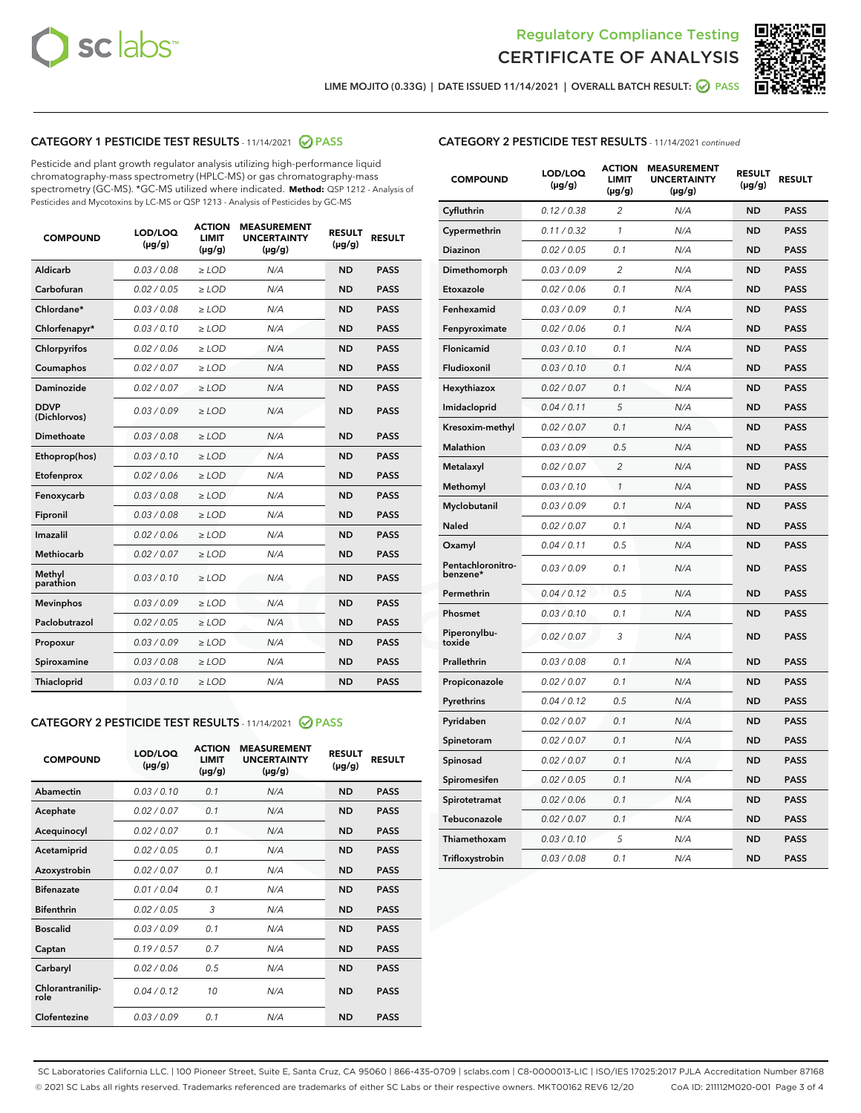



LIME MOJITO (0.33G) | DATE ISSUED 11/14/2021 | OVERALL BATCH RESULT:  $\bigcirc$  PASS

# CATEGORY 1 PESTICIDE TEST RESULTS - 11/14/2021 2 PASS

Pesticide and plant growth regulator analysis utilizing high-performance liquid chromatography-mass spectrometry (HPLC-MS) or gas chromatography-mass spectrometry (GC-MS). \*GC-MS utilized where indicated. **Method:** QSP 1212 - Analysis of Pesticides and Mycotoxins by LC-MS or QSP 1213 - Analysis of Pesticides by GC-MS

| <b>COMPOUND</b>             | LOD/LOQ<br>$(\mu g/g)$ | <b>ACTION</b><br><b>LIMIT</b><br>$(\mu g/g)$ | <b>MEASUREMENT</b><br><b>UNCERTAINTY</b><br>$(\mu g/g)$ | <b>RESULT</b><br>$(\mu g/g)$ | <b>RESULT</b> |
|-----------------------------|------------------------|----------------------------------------------|---------------------------------------------------------|------------------------------|---------------|
| Aldicarb                    | 0.03 / 0.08            | $\ge$ LOD                                    | N/A                                                     | <b>ND</b>                    | <b>PASS</b>   |
| Carbofuran                  | 0.02/0.05              | $>$ LOD                                      | N/A                                                     | <b>ND</b>                    | <b>PASS</b>   |
| Chlordane*                  | 0.03 / 0.08            | $\ge$ LOD                                    | N/A                                                     | <b>ND</b>                    | <b>PASS</b>   |
| Chlorfenapyr*               | 0.03/0.10              | $\ge$ LOD                                    | N/A                                                     | <b>ND</b>                    | <b>PASS</b>   |
| Chlorpyrifos                | 0.02 / 0.06            | $\ge$ LOD                                    | N/A                                                     | <b>ND</b>                    | <b>PASS</b>   |
| Coumaphos                   | 0.02/0.07              | $>$ LOD                                      | N/A                                                     | <b>ND</b>                    | <b>PASS</b>   |
| <b>Daminozide</b>           | 0.02 / 0.07            | $\ge$ LOD                                    | N/A                                                     | <b>ND</b>                    | <b>PASS</b>   |
| <b>DDVP</b><br>(Dichlorvos) | 0.03/0.09              | $\ge$ LOD                                    | N/A                                                     | <b>ND</b>                    | <b>PASS</b>   |
| <b>Dimethoate</b>           | 0.03 / 0.08            | $\ge$ LOD                                    | N/A                                                     | <b>ND</b>                    | <b>PASS</b>   |
| Ethoprop(hos)               | 0.03/0.10              | $\ge$ LOD                                    | N/A                                                     | <b>ND</b>                    | <b>PASS</b>   |
| Etofenprox                  | 0.02 / 0.06            | $\ge$ LOD                                    | N/A                                                     | <b>ND</b>                    | <b>PASS</b>   |
| Fenoxycarb                  | 0.03 / 0.08            | $\ge$ LOD                                    | N/A                                                     | <b>ND</b>                    | <b>PASS</b>   |
| Fipronil                    | 0.03/0.08              | $>$ LOD                                      | N/A                                                     | <b>ND</b>                    | <b>PASS</b>   |
| Imazalil                    | 0.02 / 0.06            | $\ge$ LOD                                    | N/A                                                     | <b>ND</b>                    | <b>PASS</b>   |
| Methiocarb                  | 0.02 / 0.07            | $\ge$ LOD                                    | N/A                                                     | <b>ND</b>                    | <b>PASS</b>   |
| Methyl<br>parathion         | 0.03/0.10              | $>$ LOD                                      | N/A                                                     | <b>ND</b>                    | <b>PASS</b>   |
| <b>Mevinphos</b>            | 0.03/0.09              | $>$ LOD                                      | N/A                                                     | <b>ND</b>                    | <b>PASS</b>   |
| Paclobutrazol               | 0.02 / 0.05            | $\ge$ LOD                                    | N/A                                                     | <b>ND</b>                    | <b>PASS</b>   |
| Propoxur                    | 0.03/0.09              | $>$ LOD                                      | N/A                                                     | <b>ND</b>                    | <b>PASS</b>   |
| Spiroxamine                 | 0.03 / 0.08            | $\ge$ LOD                                    | N/A                                                     | <b>ND</b>                    | <b>PASS</b>   |
| Thiacloprid                 | 0.03/0.10              | $\ge$ LOD                                    | N/A                                                     | <b>ND</b>                    | <b>PASS</b>   |

#### CATEGORY 2 PESTICIDE TEST RESULTS - 11/14/2021 @ PASS

| <b>COMPOUND</b>          | LOD/LOO<br>$(\mu g/g)$ | <b>ACTION</b><br>LIMIT<br>$(\mu g/g)$ | <b>MEASUREMENT</b><br><b>UNCERTAINTY</b><br>$(\mu g/g)$ | <b>RESULT</b><br>$(\mu g/g)$ | <b>RESULT</b> |  |
|--------------------------|------------------------|---------------------------------------|---------------------------------------------------------|------------------------------|---------------|--|
| Abamectin                | 0.03/0.10              | 0.1                                   | N/A                                                     | <b>ND</b>                    | <b>PASS</b>   |  |
| Acephate                 | 0.02/0.07              | 0.1                                   | N/A                                                     | <b>ND</b>                    | <b>PASS</b>   |  |
| Acequinocyl              | 0.02/0.07              | 0.1                                   | N/A                                                     | <b>ND</b>                    | <b>PASS</b>   |  |
| Acetamiprid              | 0.02 / 0.05            | 0.1                                   | N/A                                                     | <b>ND</b>                    | <b>PASS</b>   |  |
| Azoxystrobin             | 0.02/0.07              | 0.1                                   | N/A                                                     | <b>ND</b>                    | <b>PASS</b>   |  |
| <b>Bifenazate</b>        | 0.01 / 0.04            | 0.1                                   | N/A                                                     | <b>ND</b>                    | <b>PASS</b>   |  |
| <b>Bifenthrin</b>        | 0.02 / 0.05            | 3                                     | N/A                                                     | <b>ND</b>                    | <b>PASS</b>   |  |
| <b>Boscalid</b>          | 0.03/0.09              | 0.1                                   | N/A                                                     | <b>ND</b>                    | <b>PASS</b>   |  |
| Captan                   | 0.19/0.57              | 0.7                                   | N/A                                                     | <b>ND</b>                    | <b>PASS</b>   |  |
| Carbaryl                 | 0.02/0.06              | 0.5                                   | N/A                                                     | <b>ND</b>                    | <b>PASS</b>   |  |
| Chlorantranilip-<br>role | 0.04/0.12              | 10                                    | N/A                                                     | <b>ND</b>                    | <b>PASS</b>   |  |
| Clofentezine             | 0.03/0.09              | 0.1                                   | N/A                                                     | <b>ND</b>                    | <b>PASS</b>   |  |

# CATEGORY 2 PESTICIDE TEST RESULTS - 11/14/2021 continued

| <b>COMPOUND</b>               | LOD/LOQ<br>(µg/g) | <b>ACTION</b><br><b>LIMIT</b><br>$(\mu g/g)$ | <b>MEASUREMENT</b><br><b>UNCERTAINTY</b><br>$(\mu g/g)$ | <b>RESULT</b><br>(µg/g) | <b>RESULT</b> |
|-------------------------------|-------------------|----------------------------------------------|---------------------------------------------------------|-------------------------|---------------|
| Cyfluthrin                    | 0.12 / 0.38       | $\overline{c}$                               | N/A                                                     | ND                      | <b>PASS</b>   |
| Cypermethrin                  | 0.11 / 0.32       | $\mathcal{I}$                                | N/A                                                     | ND                      | <b>PASS</b>   |
| <b>Diazinon</b>               | 0.02 / 0.05       | 0.1                                          | N/A                                                     | <b>ND</b>               | <b>PASS</b>   |
| Dimethomorph                  | 0.03 / 0.09       | 2                                            | N/A                                                     | ND                      | <b>PASS</b>   |
| Etoxazole                     | 0.02 / 0.06       | 0.1                                          | N/A                                                     | ND                      | <b>PASS</b>   |
| Fenhexamid                    | 0.03 / 0.09       | 0.1                                          | N/A                                                     | ND                      | <b>PASS</b>   |
| Fenpyroximate                 | 0.02 / 0.06       | 0.1                                          | N/A                                                     | <b>ND</b>               | <b>PASS</b>   |
| Flonicamid                    | 0.03 / 0.10       | 0.1                                          | N/A                                                     | ND                      | <b>PASS</b>   |
| Fludioxonil                   | 0.03 / 0.10       | 0.1                                          | N/A                                                     | ND                      | <b>PASS</b>   |
| Hexythiazox                   | 0.02 / 0.07       | 0.1                                          | N/A                                                     | ND                      | <b>PASS</b>   |
| Imidacloprid                  | 0.04 / 0.11       | 5                                            | N/A                                                     | ND                      | <b>PASS</b>   |
| Kresoxim-methyl               | 0.02 / 0.07       | 0.1                                          | N/A                                                     | ND                      | <b>PASS</b>   |
| Malathion                     | 0.03 / 0.09       | 0.5                                          | N/A                                                     | ND                      | <b>PASS</b>   |
| Metalaxyl                     | 0.02 / 0.07       | $\overline{c}$                               | N/A                                                     | ND                      | <b>PASS</b>   |
| Methomyl                      | 0.03 / 0.10       | $\mathbf{1}$                                 | N/A                                                     | ND                      | <b>PASS</b>   |
| Myclobutanil                  | 0.03 / 0.09       | 0.1                                          | N/A                                                     | <b>ND</b>               | <b>PASS</b>   |
| Naled                         | 0.02 / 0.07       | 0.1                                          | N/A                                                     | ND                      | <b>PASS</b>   |
| Oxamyl                        | 0.04 / 0.11       | 0.5                                          | N/A                                                     | ND                      | PASS          |
| Pentachloronitro-<br>benzene* | 0.03 / 0.09       | 0.1                                          | N/A                                                     | ND                      | <b>PASS</b>   |
| Permethrin                    | 0.04 / 0.12       | 0.5                                          | N/A                                                     | ND                      | <b>PASS</b>   |
| Phosmet                       | 0.03 / 0.10       | 0.1                                          | N/A                                                     | ND                      | <b>PASS</b>   |
| Piperonylbu-<br>toxide        | 0.02 / 0.07       | 3                                            | N/A                                                     | <b>ND</b>               | <b>PASS</b>   |
| Prallethrin                   | 0.03 / 0.08       | 0.1                                          | N/A                                                     | ND                      | <b>PASS</b>   |
| Propiconazole                 | 0.02 / 0.07       | 0.1                                          | N/A                                                     | <b>ND</b>               | <b>PASS</b>   |
| Pyrethrins                    | 0.04 / 0.12       | 0.5                                          | N/A                                                     | ND                      | <b>PASS</b>   |
| Pyridaben                     | 0.02 / 0.07       | 0.1                                          | N/A                                                     | <b>ND</b>               | <b>PASS</b>   |
| Spinetoram                    | 0.02 / 0.07       | 0.1                                          | N/A                                                     | ND                      | <b>PASS</b>   |
| Spinosad                      | 0.02 / 0.07       | 0.1                                          | N/A                                                     | ND                      | <b>PASS</b>   |
| Spiromesifen                  | 0.02 / 0.05       | 0.1                                          | N/A                                                     | <b>ND</b>               | <b>PASS</b>   |
| Spirotetramat                 | 0.02 / 0.06       | 0.1                                          | N/A                                                     | ND                      | <b>PASS</b>   |
| Tebuconazole                  | 0.02 / 0.07       | 0.1                                          | N/A                                                     | ND                      | <b>PASS</b>   |
| Thiamethoxam                  | 0.03 / 0.10       | 5                                            | N/A                                                     | <b>ND</b>               | <b>PASS</b>   |
| Trifloxystrobin               | 0.03 / 0.08       | 0.1                                          | N/A                                                     | <b>ND</b>               | <b>PASS</b>   |

SC Laboratories California LLC. | 100 Pioneer Street, Suite E, Santa Cruz, CA 95060 | 866-435-0709 | sclabs.com | C8-0000013-LIC | ISO/IES 17025:2017 PJLA Accreditation Number 87168 © 2021 SC Labs all rights reserved. Trademarks referenced are trademarks of either SC Labs or their respective owners. MKT00162 REV6 12/20 CoA ID: 211112M020-001 Page 3 of 4